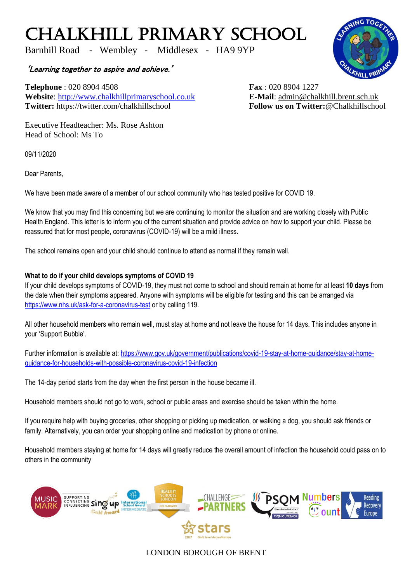## CHALKHILL PRIMARY SCHOOL

Barnhill Road - Wembley - Middlesex - HA9 9YP

'Learning together to aspire and achieve.'

**Telephone** : 020 8904 4508 **Fax** : 020 8904 1227 **Website**: [http://www.chalkhillprimaryschool.co.uk](http://www.chalkhillprimaryschool.co.uk/) **E-Mail**: [admin@chalkhill.brent.sch.uk](mailto:admin@chalkhill.brent.sch.uk) **Twitter:** https://twitter.com/chalkhillschool **Follow us on Twitter:**@Chalkhillschool

Executive Headteacher: Ms. Rose Ashton Head of School: Ms To

09/11/2020

Dear Parents,

We have been made aware of a member of our school community who has tested positive for COVID 19.

We know that you may find this concerning but we are continuing to monitor the situation and are working closely with Public Health England. This letter is to inform you of the current situation and provide advice on how to support your child. Please be reassured that for most people, coronavirus (COVID-19) will be a mild illness.

The school remains open and your child should continue to attend as normal if they remain well.

## **What to do if your child develops symptoms of COVID 19**

If your child develops symptoms of COVID-19, they must not come to school and should remain at home for at least **10 days** from the date when their symptoms appeared. Anyone with symptoms will be eligible for testing and this can be arranged via <https://www.nhs.uk/ask-for-a-coronavirus-test> or by calling 119.

All other household members who remain well, must stay at home and not leave the house for 14 days. This includes anyone in your 'Support Bubble'.

Further information is available at: [https://www.gov.uk/government/publications/covid-19-stay-at-home-guidance/stay-at-home](https://www.gov.uk/government/publications/covid-19-stay-at-home-guidance/stay-at-home-guidance-for-households-with-possible-coronavirus-covid-19-infection)[guidance-for-households-with-possible-coronavirus-covid-19-infection](https://www.gov.uk/government/publications/covid-19-stay-at-home-guidance/stay-at-home-guidance-for-households-with-possible-coronavirus-covid-19-infection)

The 14-day period starts from the day when the first person in the house became ill.

Household members should not go to work, school or public areas and exercise should be taken within the home.

If you require help with buying groceries, other shopping or picking up medication, or walking a dog, you should ask friends or family. Alternatively, you can order your shopping online and medication by phone or online.

Household members staying at home for 14 days will greatly reduce the overall amount of infection the household could pass on to others in the community



## LONDON BOROUGH OF BRENT